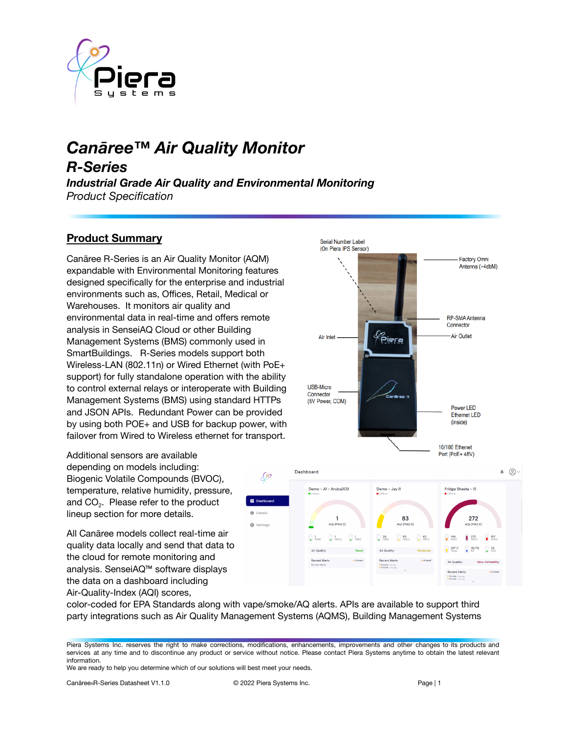

# *Canāree™ Air Quality Monitor R-Series Industrial Grade Air Quality and Environmental Monitoring*

*Product Specification*

# **Product Summary**

Canāree R-Series is an Air Quality Monitor (AQM) expandable with Environmental Monitoring features designed specifically for the enterprise and industrial environments such as, Offices, Retail, Medical or Warehouses. It monitors air quality and environmental data in real-time and offers remote analysis in SenseiAQ Cloud or other Building Management Systems (BMS) commonly used in SmartBuildings. R-Series models support both Wireless-LAN (802.11n) or Wired Ethernet (with PoE+ support) for fully standalone operation with the ability to control external relays or interoperate with Building Management Systems (BMS) using standard HTTPs and JSON APIs. Redundant Power can be provided by using both POE+ and USB for backup power, with failover from Wired to Wireless ethernet for transport.

Additional sensors are available depending on models including: Biogenic Volatile Compounds (BVOC), temperature, relative humidity, pressure, and  $CO<sub>2</sub>$ . Please refer to the product lineup section for more details.

All Canāree models collect real-time air quality data locally and send that data to the cloud for remote monitoring and analysis. SenseiAQ™ software displays the data on a dashboard including Air-Quality-Index (AQI) scores,



color-coded for EPA Standards along with vape/smoke/AQ alerts. APIs are available to support third party integrations such as Air Quality Management Systems (AQMS), Building Management Systems

∕∕୭

**O** Details

 $\vec{m}$  Settings

Piera Systems Inc. reserves the right to make corrections, modifications, enhancements, improvements and other changes to its products and services at any time and to discontinue any product or service without notice. Please contact Piera Systems anytime to obtain the latest relevant information.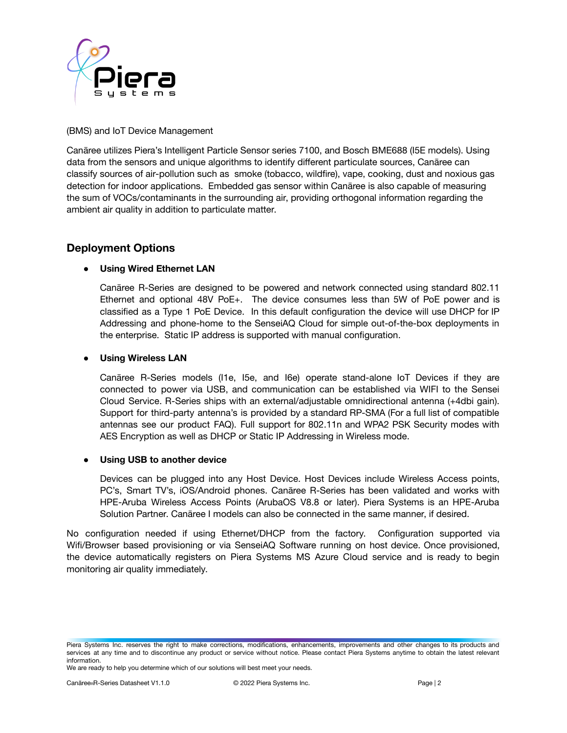

#### (BMS) and IoT Device Management

Canāree utilizes Piera's Intelligent Particle Sensor series 7100, and Bosch BME688 (I5E models). Using data from the sensors and unique algorithms to identify different particulate sources, Canāree can classify sources of air-pollution such as smoke (tobacco, wildfire), vape, cooking, dust and noxious gas detection for indoor applications. Embedded gas sensor within Canāree is also capable of measuring the sum of VOCs/contaminants in the surrounding air, providing orthogonal information regarding the ambient air quality in addition to particulate matter.

### **Deployment Options**

#### **● Using Wired Ethernet LAN**

Canāree R-Series are designed to be powered and network connected using standard 802.11 Ethernet and optional 48V PoE+. The device consumes less than 5W of PoE power and is classified as a Type 1 PoE Device. In this default configuration the device will use DHCP for IP Addressing and phone-home to the SenseiAQ Cloud for simple out-of-the-box deployments in the enterprise. Static IP address is supported with manual configuration.

#### **● Using Wireless LAN**

Canāree R-Series models (I1e, I5e, and I6e) operate stand-alone IoT Devices if they are connected to power via USB, and communication can be established via WIFI to the Sensei Cloud Service. R-Series ships with an external/adjustable omnidirectional antenna (+4dbi gain). Support for third-party antenna's is provided by a standard RP-SMA (For a full list of compatible antennas see our product FAQ). Full support for 802.11n and WPA2 PSK Security modes with AES Encryption as well as DHCP or Static IP Addressing in Wireless mode.

#### **● Using USB to another device**

Devices can be plugged into any Host Device. Host Devices include Wireless Access points, PC's, Smart TV's, iOS/Android phones. Canāree R-Series has been validated and works with HPE-Aruba Wireless Access Points (ArubaOS V8.8 or later). Piera Systems is an HPE-Aruba Solution Partner. Canāree I models can also be connected in the same manner, if desired.

No configuration needed if using Ethernet/DHCP from the factory. Configuration supported via Wifi/Browser based provisioning or via SenseiAQ Software running on host device. Once provisioned, the device automatically registers on Piera Systems MS Azure Cloud service and is ready to begin monitoring air quality immediately.

Piera Systems Inc. reserves the right to make corrections, modifications, enhancements, improvements and other changes to its products and services at any time and to discontinue any product or service without notice. Please contact Piera Systems anytime to obtain the latest relevant information.

We are ready to help you determine which of our solutions will best meet your needs.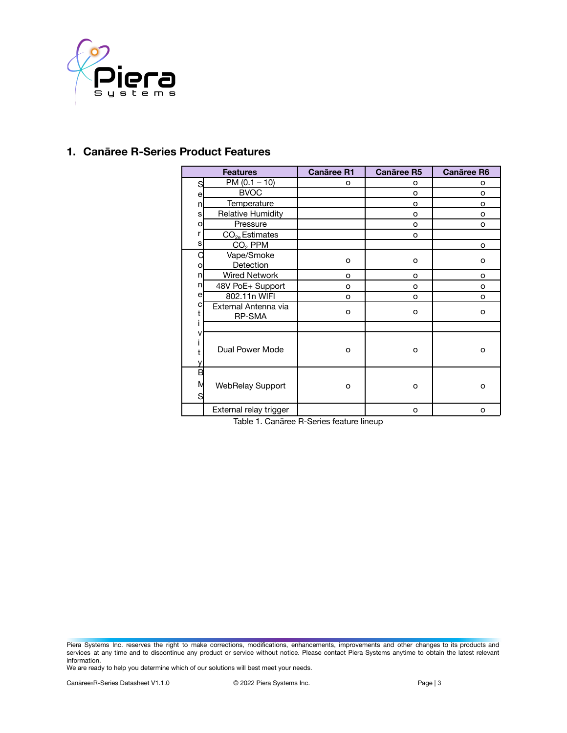

## **1. Canāree R-Series Product Features**

| <b>Features</b> |                                | <b>Canāree R1</b> | <b>Canaree R5</b> | <b>Canāree R6</b> |  |
|-----------------|--------------------------------|-------------------|-------------------|-------------------|--|
|                 | $PM (0.1 - 10)$                | o                 | o                 | o                 |  |
| S               | <b>BVOC</b>                    |                   | O                 | $\Omega$          |  |
| e<br>n          | Temperature                    |                   | o                 | $\circ$           |  |
| s               | <b>Relative Humidity</b>       |                   | o                 | o                 |  |
| о               | Pressure                       |                   | o                 | $\Omega$          |  |
| r               | $CO2e$ Estimates               |                   | o                 |                   |  |
| s               | CO <sub>2</sub> PPM            |                   |                   | o                 |  |
|                 | Vape/Smoke                     |                   |                   |                   |  |
| о               | Detection                      | o                 | o                 | $\circ$           |  |
| n               | <b>Wired Network</b>           | O                 | O                 | $\Omega$          |  |
| n               | 48V PoE+ Support               | o                 | o                 | $\circ$           |  |
| e               | 802.11n WIFI                   | o                 | o                 | $\Omega$          |  |
| с               | External Antenna via<br>RP-SMA | o                 | o                 | $\circ$           |  |
|                 |                                |                   |                   |                   |  |
| ν               | Dual Power Mode                | O                 | $\Omega$          | $\Omega$          |  |
| R<br>S          | <b>WebRelay Support</b>        | o                 | o                 | O                 |  |
|                 | External relay trigger         |                   | o                 | o                 |  |

Table 1. Canāree R-Series feature lineup

Piera Systems Inc. reserves the right to make corrections, modifications, enhancements, improvements and other changes to its products and services at any time and to discontinue any product or service without notice. Please contact Piera Systems anytime to obtain the latest relevant information.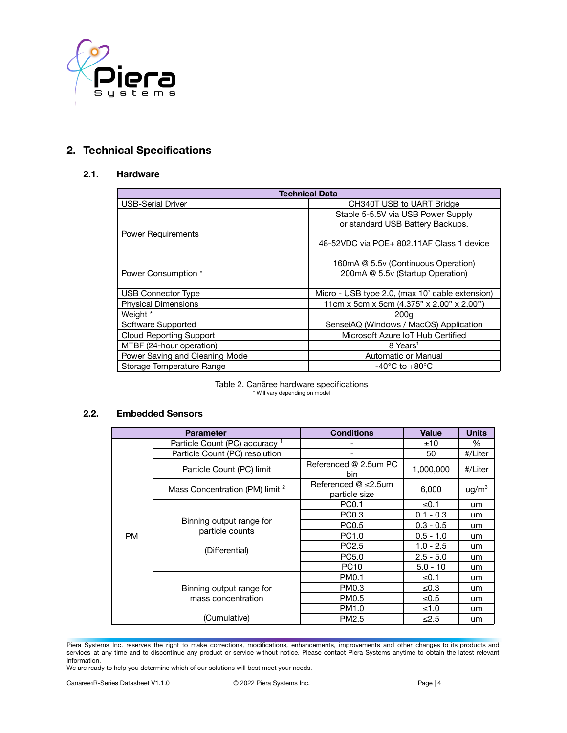

# **2. Technical Specifications**

#### **2.1. Hardware**

| <b>Technical Data</b>          |                                                 |  |  |  |  |
|--------------------------------|-------------------------------------------------|--|--|--|--|
| <b>USB-Serial Driver</b>       | CH340T USB to UART Bridge                       |  |  |  |  |
|                                | Stable 5-5.5V via USB Power Supply              |  |  |  |  |
|                                | or standard USB Battery Backups.                |  |  |  |  |
| <b>Power Requirements</b>      |                                                 |  |  |  |  |
|                                | 48-52VDC via POE+ 802.11AF Class 1 device       |  |  |  |  |
|                                |                                                 |  |  |  |  |
|                                | 160mA @ 5.5v (Continuous Operation)             |  |  |  |  |
| Power Consumption *            | 200mA @ 5.5v (Startup Operation)                |  |  |  |  |
|                                |                                                 |  |  |  |  |
| <b>USB Connector Type</b>      | Micro - USB type 2.0, (max 10' cable extension) |  |  |  |  |
| <b>Physical Dimensions</b>     | 11cm x 5cm x 5cm (4.375" x 2.00" x 2.00")       |  |  |  |  |
| Weight *                       | 200a                                            |  |  |  |  |
| Software Supported             | SenseiAQ (Windows / MacOS) Application          |  |  |  |  |
| <b>Cloud Reporting Support</b> | Microsoft Azure IoT Hub Certified               |  |  |  |  |
| MTBF (24-hour operation)       | 8 Years <sup>1</sup>                            |  |  |  |  |
| Power Saving and Cleaning Mode | Automatic or Manual                             |  |  |  |  |
| Storage Temperature Range      | $-40^{\circ}$ C to $+80^{\circ}$ C              |  |  |  |  |

Table 2. Canāree hardware specifications \* Will vary depending on model

#### **2.2. Embedded Sensors**

|           | <b>Parameter</b>                            | <b>Conditions</b>                            | <b>Value</b> | <b>Units</b>      |
|-----------|---------------------------------------------|----------------------------------------------|--------------|-------------------|
|           | Particle Count (PC) accuracy 1              |                                              | ±10          | %                 |
|           | Particle Count (PC) resolution              |                                              | 50           | #/Liter           |
|           | Particle Count (PC) limit                   | Referenced @ 2.5um PC<br>bin.                | 1,000,000    | #/Liter           |
|           | Mass Concentration (PM) limit <sup>2</sup>  | Referenced $@$ $\leq$ 2.5um<br>particle size | 6,000        | ug/m <sup>3</sup> |
|           |                                             | PC0.1                                        | ≤ $0.1$      | um                |
|           | Binning output range for<br>particle counts | PC0.3                                        | $0.1 - 0.3$  | um                |
|           |                                             | PC0.5                                        | $0.3 - 0.5$  | um                |
| <b>PM</b> |                                             | PC1.0                                        | $0.5 - 1.0$  | um                |
|           | (Differential)                              | PC <sub>2.5</sub>                            | $1.0 - 2.5$  | um.               |
|           |                                             | PC5.0                                        | $2.5 - 5.0$  | um.               |
|           |                                             | <b>PC10</b>                                  | $5.0 - 10$   | um                |
|           |                                             | PM0.1                                        | ≤ $0.1$      | um                |
|           | Binning output range for                    | PM0.3                                        | ≤ $0.3$      | um                |
|           | mass concentration                          | PM0.5                                        | ≤ $0.5$      | um                |
|           |                                             | PM1.0                                        | ≤1.0         | um                |
|           | (Cumulative)                                | PM2.5                                        | $\leq 2.5$   | um                |

Piera Systems Inc. reserves the right to make corrections, modifications, enhancements, improvements and other changes to its products and services at any time and to discontinue any product or service without notice. Please contact Piera Systems anytime to obtain the latest relevant information.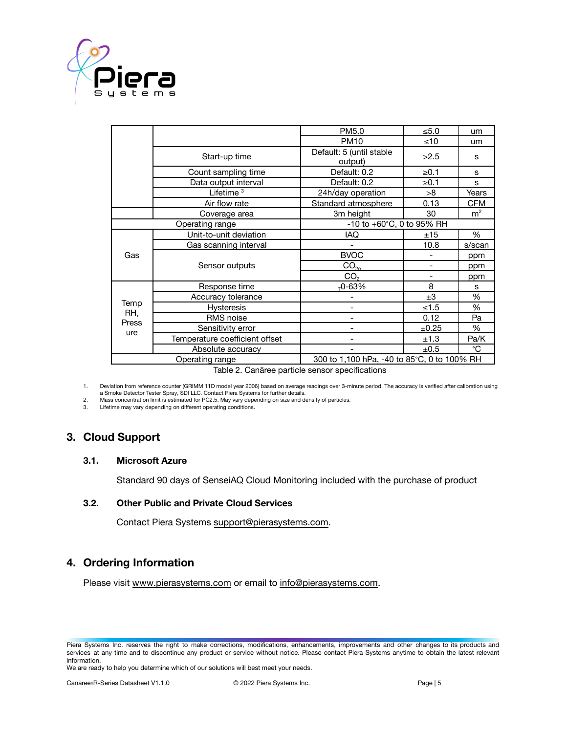

|                                                                |                                | PM5.0                               | ≤5.0       | um             |  |
|----------------------------------------------------------------|--------------------------------|-------------------------------------|------------|----------------|--|
|                                                                |                                | <b>PM10</b>                         | ≤10        | um             |  |
|                                                                | Start-up time                  | Default: 5 (until stable<br>output) | >2.5       | s              |  |
|                                                                | Count sampling time            | Default: 0.2                        | $\geq 0.1$ | S              |  |
|                                                                | Data output interval           | Default: 0.2                        | ≥0.1       | S              |  |
|                                                                | Lifetime $3$                   | 24h/day operation                   | >8         | Years          |  |
|                                                                | Air flow rate                  | Standard atmosphere                 | 0.13       | <b>CFM</b>     |  |
|                                                                | Coverage area                  | 3m height                           | 30         | m <sup>2</sup> |  |
| Operating range                                                |                                | -10 to +60°C, 0 to 95% RH           |            |                |  |
|                                                                | Unit-to-unit deviation         | IAQ                                 | ±15        | %              |  |
|                                                                | Gas scanning interval          |                                     | 10.8       | s/scan         |  |
| Gas                                                            | Sensor outputs                 | <b>BVOC</b>                         |            | ppm            |  |
|                                                                |                                | CO <sub>2e</sub>                    |            | ppm            |  |
|                                                                |                                | CO <sub>2</sub>                     |            | ppm            |  |
|                                                                | Response time                  | $T$ 0-63%                           | 8          | s              |  |
| Temp<br>RH.<br>Press<br>ure                                    | Accuracy tolerance             |                                     | ±3         | %              |  |
|                                                                | <b>Hysteresis</b>              | $\overline{\phantom{0}}$            | ≤1.5       | %              |  |
|                                                                | RMS noise                      |                                     | 0.12       | Pa             |  |
|                                                                | Sensitivity error              |                                     | ±0.25      | %              |  |
|                                                                | Temperature coefficient offset |                                     | ±1.3       | Pa/K           |  |
|                                                                | Absolute accuracy              |                                     | ±0.5       | °C             |  |
| 300 to 1,100 hPa, -40 to 85°C, 0 to 100% RH<br>Operating range |                                |                                     |            |                |  |
| $\tau$ ii a a $\tau$<br><b>Allen Barrison</b>                  |                                |                                     |            |                |  |

Table 2. Canāree particle sensor specifications

1. Deviation from reference counter (GRIMM 11D model year 2006) based on average readings over 3-minute period. The accuracy is verified after calibration using a Smoke Detector Tester Spray, SDI LLC. Contact Piera Systems for further details.

2. Mass concentration limit is estimated for PC2.5. May vary depending on size and density of particles.<br>3. Lifetime may vary depending on different operating conditions

Lifetime may vary depending on different operating conditions.

### **3. Cloud Support**

#### **3.1. Microsoft Azure**

Standard 90 days of SenseiAQ Cloud Monitoring included with the purchase of product

#### **3.2. Other Public and Private Cloud Services**

Contact Piera Systems [support@pierasystems.com.](mailto:support@pierasystems.com)

### **4. Ordering Information**

Please visit [www.pierasystems.com](http://www.pierasystems.com) or email to [info@pierasystems.com](mailto:info@pierasystems.com).

Piera Systems Inc. reserves the right to make corrections, modifications, enhancements, improvements and other changes to its products and services at any time and to discontinue any product or service without notice. Please contact Piera Systems anytime to obtain the latest relevant information.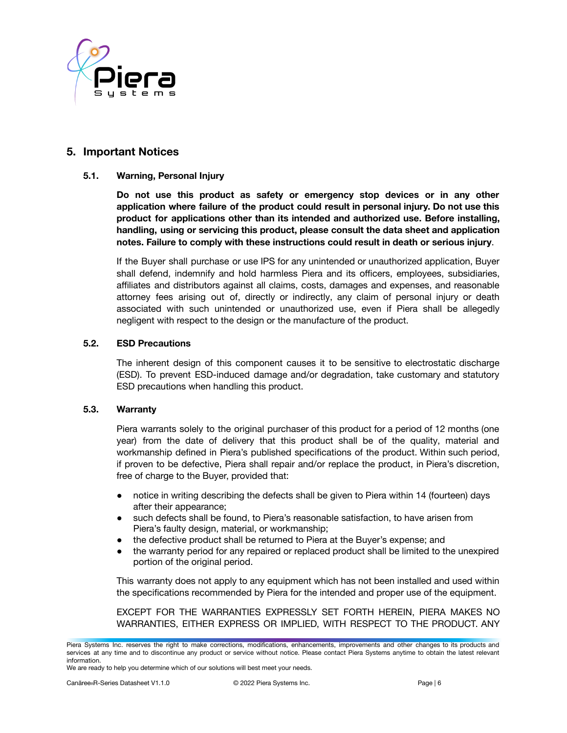

### **5. Important Notices**

#### **5.1. Warning, Personal Injury**

**Do not use this product as safety or emergency stop devices or in any other application where failure of the product could result in personal injury. Do not use this product for applications other than its intended and authorized use. Before installing, handling, using or servicing this product, please consult the data sheet and application notes. Failure to comply with these instructions could result in death or serious injury**.

If the Buyer shall purchase or use IPS for any unintended or unauthorized application, Buyer shall defend, indemnify and hold harmless Piera and its officers, employees, subsidiaries, affiliates and distributors against all claims, costs, damages and expenses, and reasonable attorney fees arising out of, directly or indirectly, any claim of personal injury or death associated with such unintended or unauthorized use, even if Piera shall be allegedly negligent with respect to the design or the manufacture of the product.

#### **5.2. ESD Precautions**

The inherent design of this component causes it to be sensitive to electrostatic discharge (ESD). To prevent ESD-induced damage and/or degradation, take customary and statutory ESD precautions when handling this product.

#### **5.3. Warranty**

Piera warrants solely to the original purchaser of this product for a period of 12 months (one year) from the date of delivery that this product shall be of the quality, material and workmanship defined in Piera's published specifications of the product. Within such period, if proven to be defective, Piera shall repair and/or replace the product, in Piera's discretion, free of charge to the Buyer, provided that:

- notice in writing describing the defects shall be given to Piera within 14 (fourteen) days after their appearance;
- such defects shall be found, to Piera's reasonable satisfaction, to have arisen from Piera's faulty design, material, or workmanship;
- the defective product shall be returned to Piera at the Buyer's expense; and
- the warranty period for any repaired or replaced product shall be limited to the unexpired portion of the original period.

This warranty does not apply to any equipment which has not been installed and used within the specifications recommended by Piera for the intended and proper use of the equipment.

EXCEPT FOR THE WARRANTIES EXPRESSLY SET FORTH HEREIN, PIERA MAKES NO WARRANTIES, EITHER EXPRESS OR IMPLIED, WITH RESPECT TO THE PRODUCT. ANY

Piera Systems Inc. reserves the right to make corrections, modifications, enhancements, improvements and other changes to its products and services at any time and to discontinue any product or service without notice. Please contact Piera Systems anytime to obtain the latest relevant information.

We are ready to help you determine which of our solutions will best meet your needs.